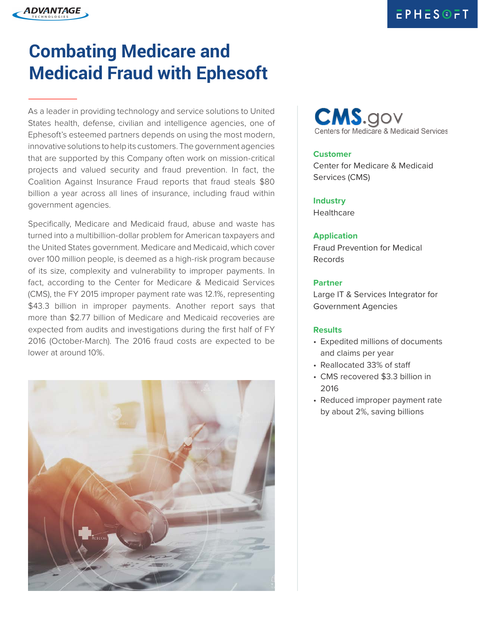

# **Combating Medicare and Medicaid Fraud with Ephesoft**

As a leader in providing technology and service solutions to United States health, defense, civilian and intelligence agencies, one of Ephesoft's esteemed partners depends on using the most modern, innovative solutions to help its customers. The government agencies that are supported by this Company often work on mission-critical projects and valued security and fraud prevention. In fact, the Coalition Against Insurance Fraud reports that fraud steals \$80 billion a year across all lines of insurance, including fraud within government agencies.

Specifically, Medicare and Medicaid fraud, abuse and waste has turned into a multibillion-dollar problem for American taxpayers and the United States government. Medicare and Medicaid, which cover over 100 million people, is deemed as a high-risk program because of its size, complexity and vulnerability to improper payments. In fact, according to the Center for Medicare & Medicaid Services (CMS), the FY 2015 improper payment rate was 12.1%, representing \$43.3 billion in improper payments. Another report says that more than \$2.77 billion of Medicare and Medicaid recoveries are expected from audits and investigations during the first half of FY 2016 (October-March). The 2016 fraud costs are expected to be lower at around 10%.





# **Customer**

Center for Medicare & Medicaid Services (CMS)

**Industry Healthcare** 

# **Application**

Fraud Prevention for Medical Records

### **Partner**

Large IT & Services Integrator for Government Agencies

# **Results**

- Expedited millions of documents and claims per year
- Reallocated 33% of staff
- CMS recovered \$3.3 billion in 2016
- Reduced improper payment rate by about 2%, saving billions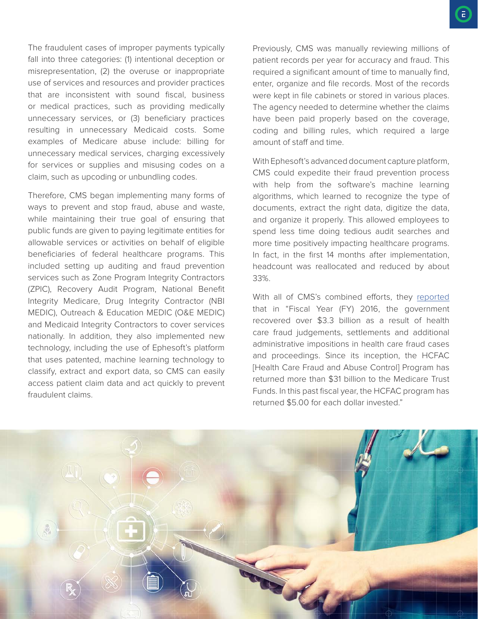The fraudulent cases of improper payments typically fall into three categories: (1) intentional deception or misrepresentation, (2) the overuse or inappropriate use of services and resources and provider practices that are inconsistent with sound fiscal, business or medical practices, such as providing medically unnecessary services, or (3) beneficiary practices resulting in unnecessary Medicaid costs. Some examples of Medicare abuse include: billing for unnecessary medical services, charging excessively for services or supplies and misusing codes on a claim, such as upcoding or unbundling codes.

Therefore, CMS began implementing many forms of ways to prevent and stop fraud, abuse and waste, while maintaining their true goal of ensuring that public funds are given to paying legitimate entities for allowable services or activities on behalf of eligible beneficiaries of federal healthcare programs. This included setting up auditing and fraud prevention services such as Zone Program Integrity Contractors (ZPIC), Recovery Audit Program, National Benefit Integrity Medicare, Drug Integrity Contractor (NBI MEDIC), Outreach & Education MEDIC (O&E MEDIC) and Medicaid Integrity Contractors to cover services nationally. In addition, they also implemented new technology, including the use of Ephesoft's platform that uses patented, machine learning technology to classify, extract and export data, so CMS can easily access patient claim data and act quickly to prevent fraudulent claims.

Previously, CMS was manually reviewing millions of patient records per year for accuracy and fraud. This required a significant amount of time to manually find, enter, organize and file records. Most of the records were kept in file cabinets or stored in various places. The agency needed to determine whether the claims have been paid properly based on the coverage, coding and billing rules, which required a large amount of staff and time.

With Ephesoft's advanced document capture platform, CMS could expedite their fraud prevention process with help from the software's machine learning algorithms, which learned to recognize the type of documents, extract the right data, digitize the data, and organize it properly. This allowed employees to spend less time doing tedious audit searches and more time positively impacting healthcare programs. In fact, in the first 14 months after implementation, headcount was reallocated and reduced by about 33%.

With all of CMS's combined efforts, they reported that in "Fiscal Year (FY) 2016, the government recovered over \$3.3 billion as a result of health care fraud judgements, settlements and additional administrative impositions in health care fraud cases and proceedings. Since its inception, the HCFAC [Health Care Fraud and Abuse Control] Program has returned more than \$31 billion to the Medicare Trust Funds. In this past fiscal year, the HCFAC program has returned \$5.00 for each dollar invested."